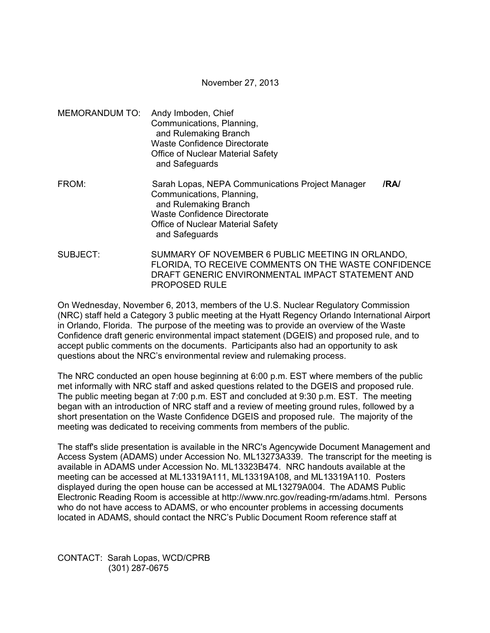November 27, 2013

MEMORANDUM TO: Andy Imboden, Chief Communications, Planning, and Rulemaking Branch Waste Confidence Directorate Office of Nuclear Material Safety and Safeguards FROM: Sarah Lopas, NEPA Communications Project Manager **/RA/**  Communications, Planning, and Rulemaking Branch Waste Confidence Directorate

Office of Nuclear Material Safety

and Safeguards

SUBJECT: SUMMARY OF NOVEMBER 6 PUBLIC MEETING IN ORLANDO, FLORIDA, TO RECEIVE COMMENTS ON THE WASTE CONFIDENCE DRAFT GENERIC ENVIRONMENTAL IMPACT STATEMENT AND PROPOSED RULE

On Wednesday, November 6, 2013, members of the U.S. Nuclear Regulatory Commission (NRC) staff held a Category 3 public meeting at the Hyatt Regency Orlando International Airport in Orlando, Florida. The purpose of the meeting was to provide an overview of the Waste Confidence draft generic environmental impact statement (DGEIS) and proposed rule, and to accept public comments on the documents. Participants also had an opportunity to ask questions about the NRC's environmental review and rulemaking process.

The NRC conducted an open house beginning at 6:00 p.m. EST where members of the public met informally with NRC staff and asked questions related to the DGEIS and proposed rule. The public meeting began at 7:00 p.m. EST and concluded at 9:30 p.m. EST. The meeting began with an introduction of NRC staff and a review of meeting ground rules, followed by a short presentation on the Waste Confidence DGEIS and proposed rule. The majority of the meeting was dedicated to receiving comments from members of the public.

The staff's slide presentation is available in the NRC's Agencywide Document Management and Access System (ADAMS) under Accession No. ML13273A339. The transcript for the meeting is available in ADAMS under Accession No. ML13323B474. NRC handouts available at the meeting can be accessed at ML13319A111, ML13319A108, and ML13319A110. Posters displayed during the open house can be accessed at ML13279A004. The ADAMS Public Electronic Reading Room is accessible at http://www.nrc.gov/reading-rm/adams.html. Persons who do not have access to ADAMS, or who encounter problems in accessing documents located in ADAMS, should contact the NRC's Public Document Room reference staff at

CONTACT: Sarah Lopas, WCD/CPRB (301) 287-0675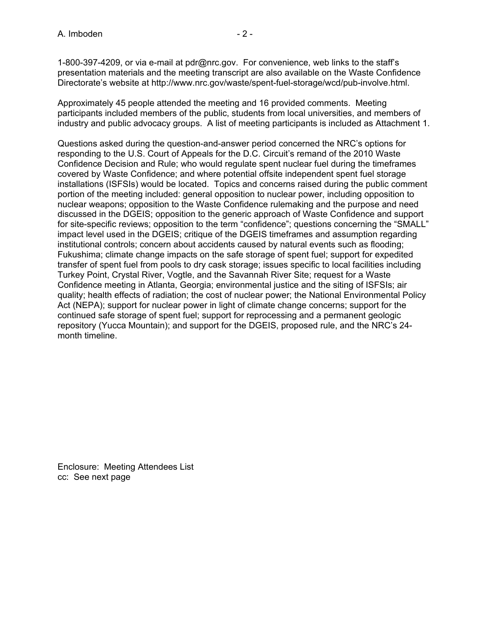presentation materials and the meeting transcript are also available on the Waste Confidence Directorate's website at http://www.nrc.gov/waste/spent-fuel-storage/wcd/pub-involve.html.

Approximately 45 people attended the meeting and 16 provided comments. Meeting participants included members of the public, students from local universities, and members of industry and public advocacy groups. A list of meeting participants is included as Attachment 1.

Questions asked during the question-and-answer period concerned the NRC's options for responding to the U.S. Court of Appeals for the D.C. Circuit's remand of the 2010 Waste Confidence Decision and Rule; who would regulate spent nuclear fuel during the timeframes covered by Waste Confidence; and where potential offsite independent spent fuel storage installations (ISFSIs) would be located. Topics and concerns raised during the public comment portion of the meeting included: general opposition to nuclear power, including opposition to nuclear weapons; opposition to the Waste Confidence rulemaking and the purpose and need discussed in the DGEIS; opposition to the generic approach of Waste Confidence and support for site-specific reviews; opposition to the term "confidence"; questions concerning the "SMALL" impact level used in the DGEIS; critique of the DGEIS timeframes and assumption regarding institutional controls; concern about accidents caused by natural events such as flooding; Fukushima; climate change impacts on the safe storage of spent fuel; support for expedited transfer of spent fuel from pools to dry cask storage; issues specific to local facilities including Turkey Point, Crystal River, Vogtle, and the Savannah River Site; request for a Waste Confidence meeting in Atlanta, Georgia; environmental justice and the siting of ISFSIs; air quality; health effects of radiation; the cost of nuclear power; the National Environmental Policy Act (NEPA); support for nuclear power in light of climate change concerns; support for the continued safe storage of spent fuel; support for reprocessing and a permanent geologic repository (Yucca Mountain); and support for the DGEIS, proposed rule, and the NRC's 24 month timeline.

Enclosure: Meeting Attendees List cc: See next page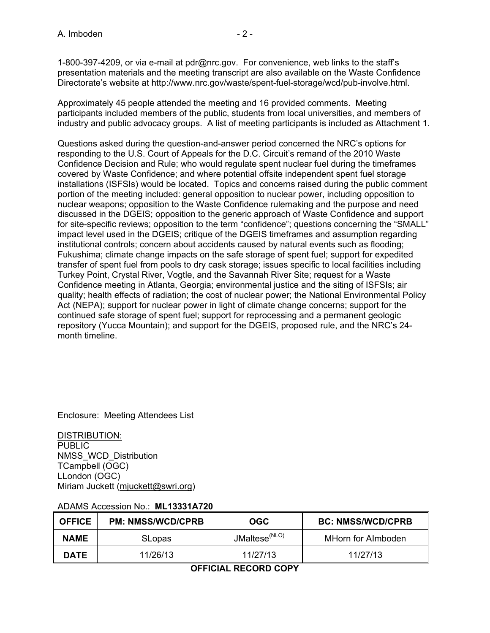Approximately 45 people attended the meeting and 16 provided comments. Meeting participants included members of the public, students from local universities, and members of industry and public advocacy groups. A list of meeting participants is included as Attachment 1.

Questions asked during the question-and-answer period concerned the NRC's options for responding to the U.S. Court of Appeals for the D.C. Circuit's remand of the 2010 Waste Confidence Decision and Rule; who would regulate spent nuclear fuel during the timeframes covered by Waste Confidence; and where potential offsite independent spent fuel storage installations (ISFSIs) would be located. Topics and concerns raised during the public comment portion of the meeting included: general opposition to nuclear power, including opposition to nuclear weapons; opposition to the Waste Confidence rulemaking and the purpose and need discussed in the DGEIS; opposition to the generic approach of Waste Confidence and support for site-specific reviews; opposition to the term "confidence"; questions concerning the "SMALL" impact level used in the DGEIS; critique of the DGEIS timeframes and assumption regarding institutional controls; concern about accidents caused by natural events such as flooding; Fukushima; climate change impacts on the safe storage of spent fuel; support for expedited transfer of spent fuel from pools to dry cask storage; issues specific to local facilities including Turkey Point, Crystal River, Vogtle, and the Savannah River Site; request for a Waste Confidence meeting in Atlanta, Georgia; environmental justice and the siting of ISFSIs; air quality; health effects of radiation; the cost of nuclear power; the National Environmental Policy Act (NEPA); support for nuclear power in light of climate change concerns; support for the continued safe storage of spent fuel; support for reprocessing and a permanent geologic repository (Yucca Mountain); and support for the DGEIS, proposed rule, and the NRC's 24 month timeline.

Enclosure: Meeting Attendees List

DISTRIBUTION: PUBLIC NMSS\_WCD\_Distribution TCampbell (OGC) LLondon (OGC) Miriam Juckett (mjuckett@swri.org)

| <b>OFFICE</b> | <b>PM: NMSS/WCD/CPRB</b> | OGC                       | <b>BC: NMSS/WCD/CPRB</b> |
|---------------|--------------------------|---------------------------|--------------------------|
| <b>NAME</b>   | <b>SLopas</b>            | JMaltese <sup>(NLO)</sup> | MHorn for Almboden       |
| <b>DATE</b>   | 11/26/13                 | 11/27/13                  | 11/27/13                 |

## ADAMS Accession No.: **ML13331A720**

**OFFICIAL RECORD COPY**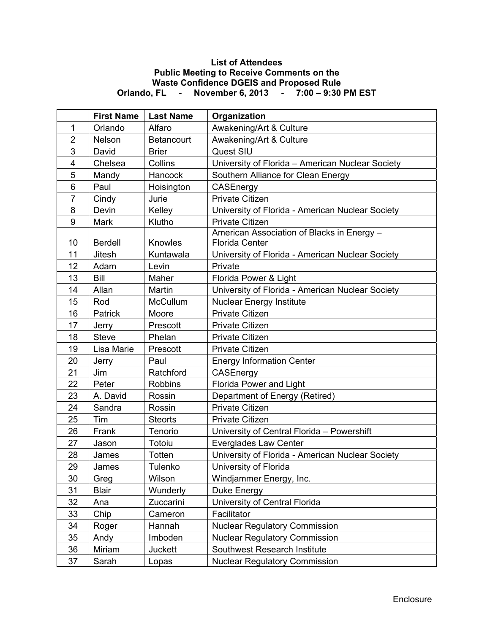## **List of Attendees Public Meeting to Receive Comments on the Waste Confidence DGEIS and Proposed Rule Orlando, FL - November 6, 2013 - 7:00 – 9:30 PM EST**

|                         | <b>First Name</b> | <b>Last Name</b>  | Organization                                                        |
|-------------------------|-------------------|-------------------|---------------------------------------------------------------------|
| 1                       | Orlando           | Alfaro            | Awakening/Art & Culture                                             |
| $\overline{2}$          | Nelson            | <b>Betancourt</b> | Awakening/Art & Culture                                             |
| 3                       | David             | <b>Brier</b>      | Quest SIU                                                           |
| $\overline{\mathbf{4}}$ | Chelsea           | Collins           | University of Florida - American Nuclear Society                    |
| 5                       | Mandy             | Hancock           | Southern Alliance for Clean Energy                                  |
| $6\phantom{1}$          | Paul              | Hoisington        | CASEnergy                                                           |
| $\overline{7}$          | Cindy             | Jurie             | <b>Private Citizen</b>                                              |
| 8                       | Devin             | Kelley            | University of Florida - American Nuclear Society                    |
| 9                       | Mark              | Klutho            | <b>Private Citizen</b>                                              |
| 10                      | <b>Berdell</b>    | Knowles           | American Association of Blacks in Energy -<br><b>Florida Center</b> |
| 11                      | Jitesh            | Kuntawala         | University of Florida - American Nuclear Society                    |
| 12                      | Adam              | Levin             | Private                                                             |
| 13                      | Bill              | Maher             | Florida Power & Light                                               |
| 14                      | Allan             | Martin            | University of Florida - American Nuclear Society                    |
| 15                      | Rod               | <b>McCullum</b>   | <b>Nuclear Energy Institute</b>                                     |
| 16                      | <b>Patrick</b>    | Moore             | <b>Private Citizen</b>                                              |
| 17                      | Jerry             | Prescott          | <b>Private Citizen</b>                                              |
| 18                      | <b>Steve</b>      | Phelan            | <b>Private Citizen</b>                                              |
| 19                      | Lisa Marie        | Prescott          | <b>Private Citizen</b>                                              |
| 20                      | Jerry             | Paul              | <b>Energy Information Center</b>                                    |
| 21                      | Jim               | Ratchford         | CASEnergy                                                           |
| 22                      | Peter             | <b>Robbins</b>    | <b>Florida Power and Light</b>                                      |
| 23                      | A. David          | Rossin            | Department of Energy (Retired)                                      |
| 24                      | Sandra            | Rossin            | <b>Private Citizen</b>                                              |
| 25                      | Tim               | <b>Steorts</b>    | <b>Private Citizen</b>                                              |
| 26                      | Frank             | Tenorio           | University of Central Florida - Powershift                          |
| 27                      | Jason             | Totoiu            | Everglades Law Center                                               |
| 28                      | James             | Totten            | University of Florida - American Nuclear Society                    |
| 29                      | James             | Tulenko           | University of Florida                                               |
| 30                      | Greg              | Wilson            | Windjammer Energy, Inc.                                             |
| 31                      | <b>Blair</b>      | Wunderly          | Duke Energy                                                         |
| 32                      | Ana               | Zuccarini         | University of Central Florida                                       |
| 33                      | Chip              | Cameron           | Facilitator                                                         |
| 34                      | Roger             | Hannah            | <b>Nuclear Regulatory Commission</b>                                |
| 35                      | Andy              | Imboden           | <b>Nuclear Regulatory Commission</b>                                |
| 36                      | Miriam            | <b>Juckett</b>    | Southwest Research Institute                                        |
| 37                      | Sarah             | Lopas             | <b>Nuclear Regulatory Commission</b>                                |